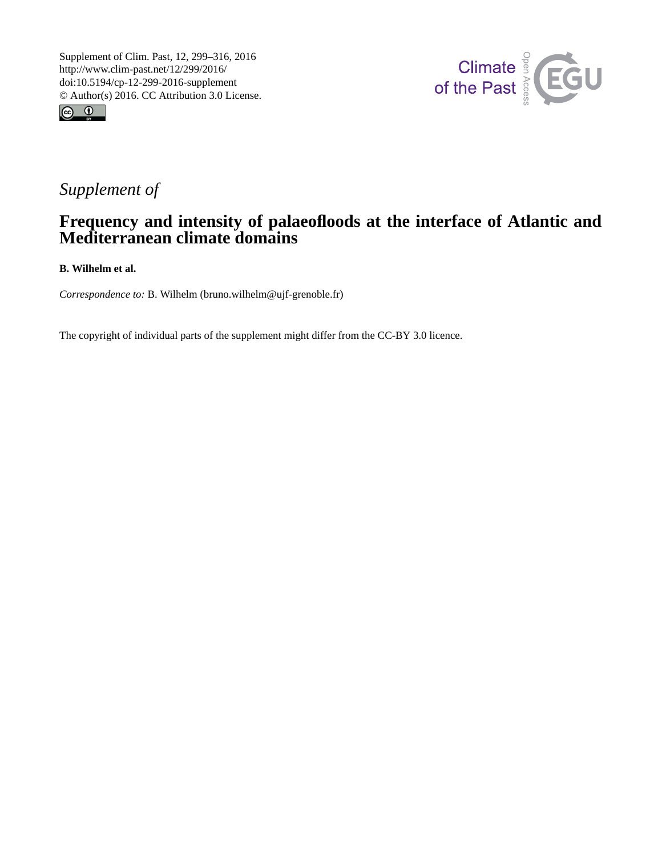



## *Supplement of*

## **Frequency and intensity of palaeofloods at the interface of Atlantic and Mediterranean climate domains**

**B. Wilhelm et al.**

*Correspondence to:* B. Wilhelm (bruno.wilhelm@ujf-grenoble.fr)

The copyright of individual parts of the supplement might differ from the CC-BY 3.0 licence.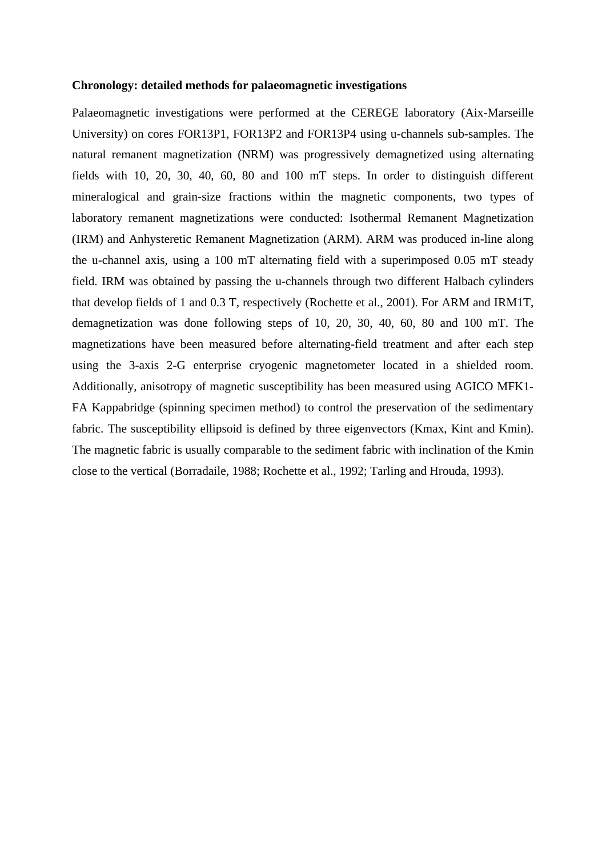## **Chronology: detailed methods for palaeomagnetic investigations**

Palaeomagnetic investigations were performed at the CEREGE laboratory (Aix-Marseille University) on cores FOR13P1, FOR13P2 and FOR13P4 using u-channels sub-samples. The natural remanent magnetization (NRM) was progressively demagnetized using alternating fields with 10, 20, 30, 40, 60, 80 and 100 mT steps. In order to distinguish different mineralogical and grain-size fractions within the magnetic components, two types of laboratory remanent magnetizations were conducted: Isothermal Remanent Magnetization (IRM) and Anhysteretic Remanent Magnetization (ARM). ARM was produced in-line along the u-channel axis, using a 100 mT alternating field with a superimposed 0.05 mT steady field. IRM was obtained by passing the u-channels through two different Halbach cylinders that develop fields of 1 and 0.3 T, respectively (Rochette et al., 2001). For ARM and IRM1T, demagnetization was done following steps of 10, 20, 30, 40, 60, 80 and 100 mT. The magnetizations have been measured before alternating-field treatment and after each step using the 3-axis 2-G enterprise cryogenic magnetometer located in a shielded room. Additionally, anisotropy of magnetic susceptibility has been measured using AGICO MFK1- FA Kappabridge (spinning specimen method) to control the preservation of the sedimentary fabric. The susceptibility ellipsoid is defined by three eigenvectors (Kmax, Kint and Kmin). The magnetic fabric is usually comparable to the sediment fabric with inclination of the Kmin close to the vertical (Borradaile, 1988; Rochette et al., 1992; Tarling and Hrouda, 1993).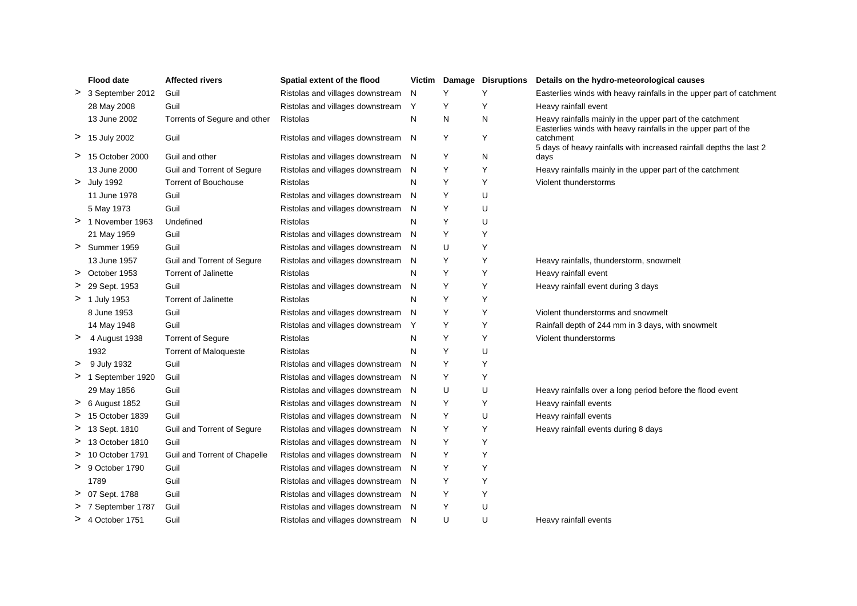|   | <b>Flood date</b>  | <b>Affected rivers</b>       | Spatial extent of the flood        |    |   | Victim Damage Disruptions | Details on the hydro-meteorological causes                                                                                  |
|---|--------------------|------------------------------|------------------------------------|----|---|---------------------------|-----------------------------------------------------------------------------------------------------------------------------|
|   | > 3 September 2012 | Guil                         | Ristolas and villages downstream   | N  | Y | Y                         | Easterlies winds with heavy rainfalls in the upper part of catchment                                                        |
|   | 28 May 2008        | Guil                         | Ristolas and villages downstream   | Y  | Y | Y                         | Heavy rainfall event                                                                                                        |
|   | 13 June 2002       | Torrents of Segure and other | Ristolas                           | N  | N | N                         | Heavy rainfalls mainly in the upper part of the catchment<br>Easterlies winds with heavy rainfalls in the upper part of the |
|   | > 15 July 2002     | Guil                         | Ristolas and villages downstream N |    | Y | Y                         | catchment<br>5 days of heavy rainfalls with increased rainfall depths the last 2                                            |
|   | > 15 October 2000  | Guil and other               | Ristolas and villages downstream   | N  | Υ | N                         | days                                                                                                                        |
|   | 13 June 2000       | Guil and Torrent of Segure   | Ristolas and villages downstream   | N  | Y | Y                         | Heavy rainfalls mainly in the upper part of the catchment                                                                   |
|   | > July 1992        | <b>Torrent of Bouchouse</b>  | Ristolas                           | N  | Υ | Υ                         | Violent thunderstorms                                                                                                       |
|   | 11 June 1978       | Guil                         | Ristolas and villages downstream   | N  | Y | U                         |                                                                                                                             |
|   | 5 May 1973         | Guil                         | Ristolas and villages downstream   | N  | Y | U                         |                                                                                                                             |
|   | > 1 November 1963  | Undefined                    | Ristolas                           | N  | Υ | U                         |                                                                                                                             |
|   | 21 May 1959        | Guil                         | Ristolas and villages downstream   | N  | Y | Y                         |                                                                                                                             |
|   | > Summer 1959      | Guil                         | Ristolas and villages downstream   | N  | U | Y                         |                                                                                                                             |
|   | 13 June 1957       | Guil and Torrent of Segure   | Ristolas and villages downstream N |    | Y | Y                         | Heavy rainfalls, thunderstorm, snowmelt                                                                                     |
|   | > October 1953     | <b>Torrent of Jalinette</b>  | <b>Ristolas</b>                    | N  | Υ | Υ                         | Heavy rainfall event                                                                                                        |
|   | > 29 Sept. 1953    | Guil                         | Ristolas and villages downstream   | N  | Y | Y                         | Heavy rainfall event during 3 days                                                                                          |
|   | > 1 July 1953      | <b>Torrent of Jalinette</b>  | Ristolas                           | N  | Υ | Y                         |                                                                                                                             |
|   | 8 June 1953        | Guil                         | Ristolas and villages downstream   | N  | Y | Y                         | Violent thunderstorms and snowmelt                                                                                          |
|   | 14 May 1948        | Guil                         | Ristolas and villages downstream   | Y  | Y | Y                         | Rainfall depth of 244 mm in 3 days, with snowmelt                                                                           |
|   | > 4 August 1938    | <b>Torrent of Segure</b>     | Ristolas                           | N  | Y | Υ                         | Violent thunderstorms                                                                                                       |
|   | 1932               | <b>Torrent of Maloqueste</b> | Ristolas                           | N  | Y | U                         |                                                                                                                             |
|   | > 9 July 1932      | Guil                         | Ristolas and villages downstream   | N  | Υ | Y                         |                                                                                                                             |
|   | > 1 September 1920 | Guil                         | Ristolas and villages downstream   | N. | Y | Y                         |                                                                                                                             |
|   | 29 May 1856        | Guil                         | Ristolas and villages downstream   | N  | U | U                         | Heavy rainfalls over a long period before the flood event                                                                   |
|   | $> 6$ August 1852  | Guil                         | Ristolas and villages downstream   | N  | Y | Y                         | Heavy rainfall events                                                                                                       |
|   | > 15 October 1839  | Guil                         | Ristolas and villages downstream   | N  | Y | U                         | Heavy rainfall events                                                                                                       |
|   | > 13 Sept. 1810    | Guil and Torrent of Segure   | Ristolas and villages downstream   | N  | Υ | Y                         | Heavy rainfall events during 8 days                                                                                         |
|   | > 13 October 1810  | Guil                         | Ristolas and villages downstream N |    | Y | Y                         |                                                                                                                             |
|   | > 10 October 1791  | Guil and Torrent of Chapelle | Ristolas and villages downstream   | N  | Υ | Y                         |                                                                                                                             |
|   | $> 9$ October 1790 | Guil                         | Ristolas and villages downstream   | N. | Y | Y                         |                                                                                                                             |
|   | 1789               | Guil                         | Ristolas and villages downstream   | N  | Y | Y                         |                                                                                                                             |
|   | > 07 Sept. 1788    | Guil                         | Ristolas and villages downstream   | N  | Y | Y                         |                                                                                                                             |
| ⋗ | 7 September 1787   | Guil                         | Ristolas and villages downstream   | N  | Υ | U                         |                                                                                                                             |
|   | > 4 October 1751   | Guil                         | Ristolas and villages downstream N |    | U | U                         | Heavy rainfall events                                                                                                       |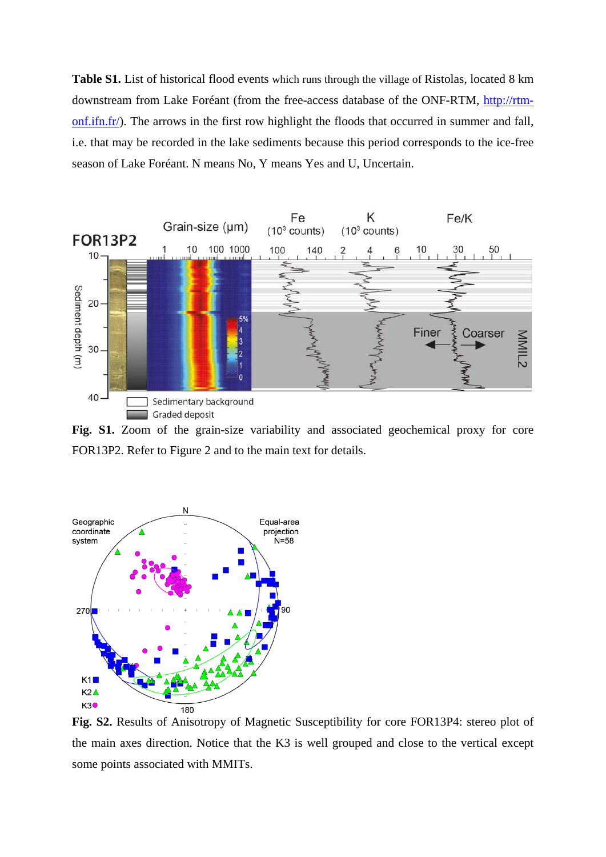**Table S1.** List of historical flood events which runs through the village of Ristolas, located 8 km downstream from Lake Foréant (from the free-access database of the ONF-RTM, [http://rtm](http://rtm-onf.ifn.fr/)[onf.ifn.fr/\)](http://rtm-onf.ifn.fr/). The arrows in the first row highlight the floods that occurred in summer and fall, i.e. that may be recorded in the lake sediments because this period corresponds to the ice-free season of Lake Foréant. N means No, Y means Yes and U, Uncertain.



Fig. S1. Zoom of the grain-size variability and associated geochemical proxy for core FOR13P2. Refer to Figure 2 and to the main text for details.



**Fig. S2.** Results of Anisotropy of Magnetic Susceptibility for core FOR13P4: stereo plot of the main axes direction. Notice that the K3 is well grouped and close to the vertical except some points associated with MMITs.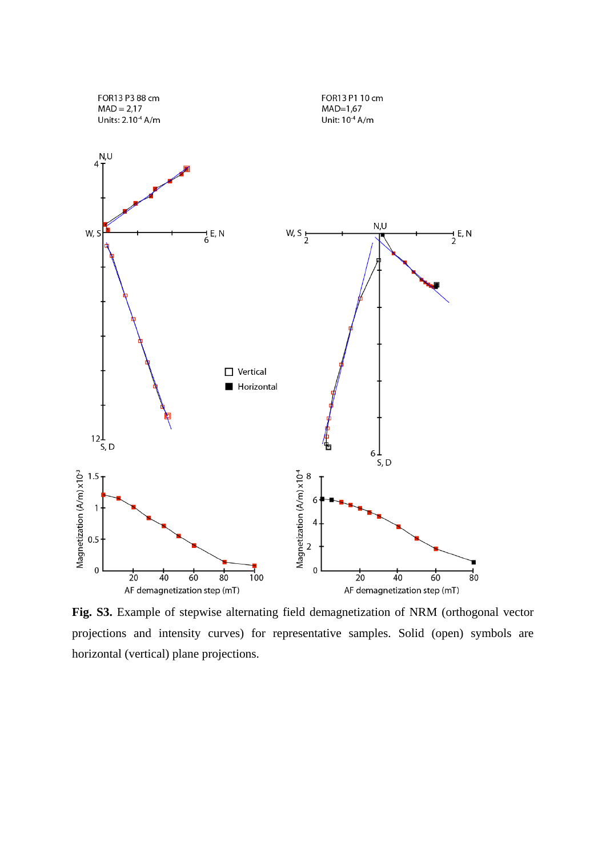

**Fig. S3.** Example of stepwise alternating field demagnetization of NRM (orthogonal vector projections and intensity curves) for representative samples. Solid (open) symbols are horizontal (vertical) plane projections.